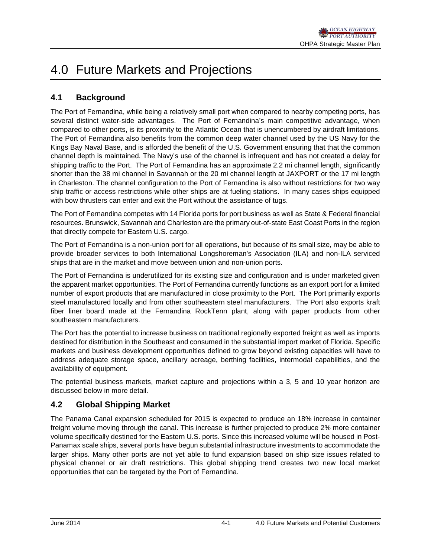# 4.0 Future Markets and Projections

# **4.1 Background**

The Port of Fernandina, while being a relatively small port when compared to nearby competing ports, has several distinct water-side advantages. The Port of Fernandina's main competitive advantage, when compared to other ports, is its proximity to the Atlantic Ocean that is unencumbered by airdraft limitations. The Port of Fernandina also benefits from the common deep water channel used by the US Navy for the Kings Bay Naval Base, and is afforded the benefit of the U.S. Government ensuring that that the common channel depth is maintained. The Navy's use of the channel is infrequent and has not created a delay for shipping traffic to the Port. The Port of Fernandina has an approximate 2.2 mi channel length, significantly shorter than the 38 mi channel in Savannah or the 20 mi channel length at JAXPORT or the 17 mi length in Charleston. The channel configuration to the Port of Fernandina is also without restrictions for two way ship traffic or access restrictions while other ships are at fueling stations. In many cases ships equipped with bow thrusters can enter and exit the Port without the assistance of tugs.

The Port of Fernandina competes with 14 Florida ports for port business as well as State & Federal financial resources. Brunswick, Savannah and Charleston are the primary out-of-state East Coast Ports in the region that directly compete for Eastern U.S. cargo.

The Port of Fernandina is a non-union port for all operations, but because of its small size, may be able to provide broader services to both International Longshoreman's Association (ILA) and non-ILA serviced ships that are in the market and move between union and non-union ports.

The Port of Fernandina is underutilized for its existing size and configuration and is under marketed given the apparent market opportunities. The Port of Fernandina currently functions as an export port for a limited number of export products that are manufactured in close proximity to the Port. The Port primarily exports steel manufactured locally and from other southeastern steel manufacturers. The Port also exports kraft fiber liner board made at the Fernandina RockTenn plant, along with paper products from other southeastern manufacturers.

The Port has the potential to increase business on traditional regionally exported freight as well as imports destined for distribution in the Southeast and consumed in the substantial import market of Florida. Specific markets and business development opportunities defined to grow beyond existing capacities will have to address adequate storage space, ancillary acreage, berthing facilities, intermodal capabilities, and the availability of equipment.

The potential business markets, market capture and projections within a 3, 5 and 10 year horizon are discussed below in more detail.

# **4.2 Global Shipping Market**

The Panama Canal expansion scheduled for 2015 is expected to produce an 18% increase in container freight volume moving through the canal. This increase is further projected to produce 2% more container volume specifically destined for the Eastern U.S. ports. Since this increased volume will be housed in Post-Panamax scale ships, several ports have begun substantial infrastructure investments to accommodate the larger ships. Many other ports are not yet able to fund expansion based on ship size issues related to physical channel or air draft restrictions. This global shipping trend creates two new local market opportunities that can be targeted by the Port of Fernandina.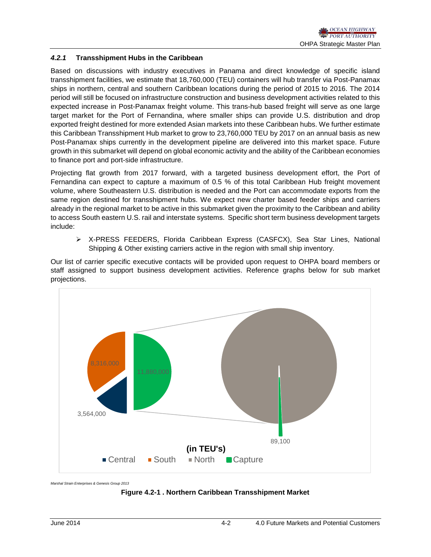## *4.2.1* **Transshipment Hubs in the Caribbean**

Based on discussions with industry executives in Panama and direct knowledge of specific island transshipment facilities, we estimate that 18,760,000 (TEU) containers will hub transfer via Post-Panamax ships in northern, central and southern Caribbean locations during the period of 2015 to 2016. The 2014 period will still be focused on infrastructure construction and business development activities related to this expected increase in Post-Panamax freight volume. This trans-hub based freight will serve as one large target market for the Port of Fernandina, where smaller ships can provide U.S. distribution and drop exported freight destined for more extended Asian markets into these Caribbean hubs. We further estimate this Caribbean Transshipment Hub market to grow to 23,760,000 TEU by 2017 on an annual basis as new Post-Panamax ships currently in the development pipeline are delivered into this market space. Future growth in this submarket will depend on global economic activity and the ability of the Caribbean economies to finance port and port-side infrastructure.

Projecting flat growth from 2017 forward, with a targeted business development effort, the Port of Fernandina can expect to capture a maximum of 0.5 % of this total Caribbean Hub freight movement volume, where Southeastern U.S. distribution is needed and the Port can accommodate exports from the same region destined for transshipment hubs. We expect new charter based feeder ships and carriers already in the regional market to be active in this submarket given the proximity to the Caribbean and ability to access South eastern U.S. rail and interstate systems. Specific short term business development targets include:

 X-PRESS FEEDERS, Florida Caribbean Express (CASFCX), Sea Star Lines, National Shipping & Other existing carriers active in the region with small ship inventory.

Our list of carrier specific executive contacts will be provided upon request to OHPA board members or staff assigned to support business development activities. Reference graphs below for sub market projections.



*Marshal Strain Enterprises & Genesis Group 2013*

**Figure 4.2-1 . Northern Caribbean Transshipment Market**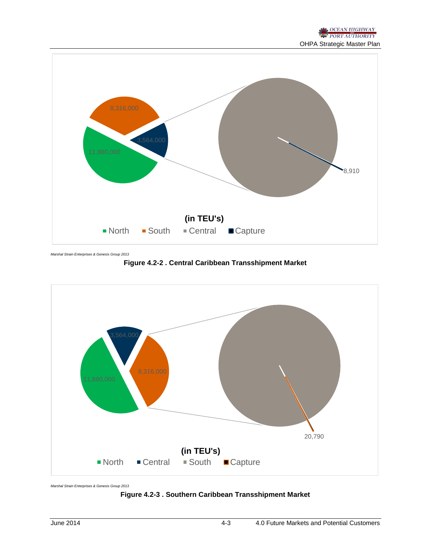

*Marshal Strain Enterprises & Genesis Group 2013*

**Figure 4.2-2 . Central Caribbean Transshipment Market**



*Marshal Strain Enterprises & Genesis Group 2013*

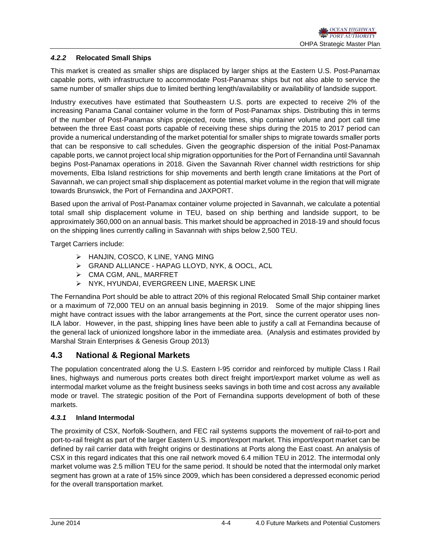## *4.2.2* **Relocated Small Ships**

This market is created as smaller ships are displaced by larger ships at the Eastern U.S. Post-Panamax capable ports, with infrastructure to accommodate Post-Panamax ships but not also able to service the same number of smaller ships due to limited berthing length/availability or availability of landside support.

Industry executives have estimated that Southeastern U.S. ports are expected to receive 2% of the increasing Panama Canal container volume in the form of Post-Panamax ships. Distributing this in terms of the number of Post-Panamax ships projected, route times, ship container volume and port call time between the three East coast ports capable of receiving these ships during the 2015 to 2017 period can provide a numerical understanding of the market potential for smaller ships to migrate towards smaller ports that can be responsive to call schedules. Given the geographic dispersion of the initial Post-Panamax capable ports, we cannot project local ship migration opportunities for the Port of Fernandina until Savannah begins Post-Panamax operations in 2018. Given the Savannah River channel width restrictions for ship movements, Elba Island restrictions for ship movements and berth length crane limitations at the Port of Savannah, we can project small ship displacement as potential market volume in the region that will migrate towards Brunswick, the Port of Fernandina and JAXPORT.

Based upon the arrival of Post-Panamax container volume projected in Savannah, we calculate a potential total small ship displacement volume in TEU, based on ship berthing and landside support, to be approximately 360,000 on an annual basis. This market should be approached in 2018-19 and should focus on the shipping lines currently calling in Savannah with ships below 2,500 TEU.

Target Carriers include:

- > HANJIN, COSCO, K LINE, YANG MING
- GRAND ALLIANCE HAPAG LLOYD, NYK, & OOCL, ACL
- $\triangleright$  CMA CGM, ANL, MARFRET
- NYK, HYUNDAI, EVERGREEN LINE, MAERSK LINE

The Fernandina Port should be able to attract 20% of this regional Relocated Small Ship container market or a maximum of 72,000 TEU on an annual basis beginning in 2019. Some of the major shipping lines might have contract issues with the labor arrangements at the Port, since the current operator uses non-ILA labor. However, in the past, shipping lines have been able to justify a call at Fernandina because of the general lack of unionized longshore labor in the immediate area. (Analysis and estimates provided by Marshal Strain Enterprises & Genesis Group 2013)

# **4.3 National & Regional Markets**

The population concentrated along the U.S. Eastern I-95 corridor and reinforced by multiple Class I Rail lines, highways and numerous ports creates both direct freight import/export market volume as well as intermodal market volume as the freight business seeks savings in both time and cost across any available mode or travel. The strategic position of the Port of Fernandina supports development of both of these markets.

## *4.3.1* **Inland Intermodal**

The proximity of CSX, Norfolk-Southern, and FEC rail systems supports the movement of rail-to-port and port-to-rail freight as part of the larger Eastern U.S. import/export market. This import/export market can be defined by rail carrier data with freight origins or destinations at Ports along the East coast. An analysis of CSX in this regard indicates that this one rail network moved 6.4 million TEU in 2012. The intermodal only market volume was 2.5 million TEU for the same period. It should be noted that the intermodal only market segment has grown at a rate of 15% since 2009, which has been considered a depressed economic period for the overall transportation market.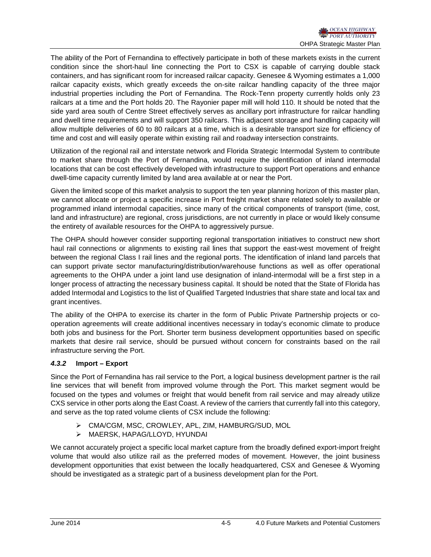The ability of the Port of Fernandina to effectively participate in both of these markets exists in the current condition since the short-haul line connecting the Port to CSX is capable of carrying double stack containers, and has significant room for increased railcar capacity. Genesee & Wyoming estimates a 1,000 railcar capacity exists, which greatly exceeds the on-site railcar handling capacity of the three major industrial properties including the Port of Fernandina. The Rock-Tenn property currently holds only 23 railcars at a time and the Port holds 20. The Rayonier paper mill will hold 110. It should be noted that the side yard area south of Centre Street effectively serves as ancillary port infrastructure for railcar handling and dwell time requirements and will support 350 railcars. This adjacent storage and handling capacity will allow multiple deliveries of 60 to 80 railcars at a time, which is a desirable transport size for efficiency of time and cost and will easily operate within existing rail and roadway intersection constraints.

Utilization of the regional rail and interstate network and Florida Strategic Intermodal System to contribute to market share through the Port of Fernandina, would require the identification of inland intermodal locations that can be cost effectively developed with infrastructure to support Port operations and enhance dwell-time capacity currently limited by land area available at or near the Port.

Given the limited scope of this market analysis to support the ten year planning horizon of this master plan, we cannot allocate or project a specific increase in Port freight market share related solely to available or programmed inland intermodal capacities, since many of the critical components of transport (time, cost, land and infrastructure) are regional, cross jurisdictions, are not currently in place or would likely consume the entirety of available resources for the OHPA to aggressively pursue.

The OHPA should however consider supporting regional transportation initiatives to construct new short haul rail connections or alignments to existing rail lines that support the east-west movement of freight between the regional Class I rail lines and the regional ports. The identification of inland land parcels that can support private sector manufacturing/distribution/warehouse functions as well as offer operational agreements to the OHPA under a joint land use designation of inland-intermodal will be a first step in a longer process of attracting the necessary business capital. It should be noted that the State of Florida has added Intermodal and Logistics to the list of Qualified Targeted Industries that share state and local tax and grant incentives.

The ability of the OHPA to exercise its charter in the form of Public Private Partnership projects or cooperation agreements will create additional incentives necessary in today's economic climate to produce both jobs and business for the Port. Shorter term business development opportunities based on specific markets that desire rail service, should be pursued without concern for constraints based on the rail infrastructure serving the Port.

## *4.3.2* **Import – Export**

Since the Port of Fernandina has rail service to the Port, a logical business development partner is the rail line services that will benefit from improved volume through the Port. This market segment would be focused on the types and volumes or freight that would benefit from rail service and may already utilize CXS service in other ports along the East Coast. A review of the carriers that currently fall into this category, and serve as the top rated volume clients of CSX include the following:

- CMA/CGM, MSC, CROWLEY, APL, ZIM, HAMBURG/SUD, MOL
- MAERSK, HAPAG/LLOYD, HYUNDAI

We cannot accurately project a specific local market capture from the broadly defined export-import freight volume that would also utilize rail as the preferred modes of movement. However, the joint business development opportunities that exist between the locally headquartered, CSX and Genesee & Wyoming should be investigated as a strategic part of a business development plan for the Port.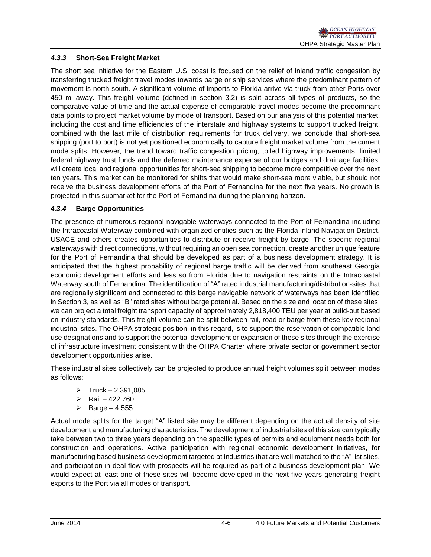## *4.3.3* **Short-Sea Freight Market**

The short sea initiative for the Eastern U.S. coast is focused on the relief of inland traffic congestion by transferring trucked freight travel modes towards barge or ship services where the predominant pattern of movement is north-south. A significant volume of imports to Florida arrive via truck from other Ports over 450 mi away. This freight volume (defined in section 3.2) is split across all types of products, so the comparative value of time and the actual expense of comparable travel modes become the predominant data points to project market volume by mode of transport. Based on our analysis of this potential market, including the cost and time efficiencies of the interstate and highway systems to support trucked freight, combined with the last mile of distribution requirements for truck delivery, we conclude that short-sea shipping (port to port) is not yet positioned economically to capture freight market volume from the current mode splits. However, the trend toward traffic congestion pricing, tolled highway improvements, limited federal highway trust funds and the deferred maintenance expense of our bridges and drainage facilities, will create local and regional opportunities for short-sea shipping to become more competitive over the next ten years. This market can be monitored for shifts that would make short-sea more viable, but should not receive the business development efforts of the Port of Fernandina for the next five years. No growth is projected in this submarket for the Port of Fernandina during the planning horizon.

## *4.3.4* **Barge Opportunities**

The presence of numerous regional navigable waterways connected to the Port of Fernandina including the Intracoastal Waterway combined with organized entities such as the Florida Inland Navigation District, USACE and others creates opportunities to distribute or receive freight by barge. The specific regional waterways with direct connections, without requiring an open sea connection, create another unique feature for the Port of Fernandina that should be developed as part of a business development strategy. It is anticipated that the highest probability of regional barge traffic will be derived from southeast Georgia economic development efforts and less so from Florida due to navigation restraints on the Intracoastal Waterway south of Fernandina. The identification of "A" rated industrial manufacturing/distribution-sites that are regionally significant and connected to this barge navigable network of waterways has been identified in Section 3, as well as "B" rated sites without barge potential. Based on the size and location of these sites, we can project a total freight transport capacity of approximately 2,818,400 TEU per year at build-out based on industry standards. This freight volume can be split between rail, road or barge from these key regional industrial sites. The OHPA strategic position, in this regard, is to support the reservation of compatible land use designations and to support the potential development or expansion of these sites through the exercise of infrastructure investment consistent with the OHPA Charter where private sector or government sector development opportunities arise.

These industrial sites collectively can be projected to produce annual freight volumes split between modes as follows:

- $\triangleright$  Truck 2,391,085
- $\triangleright$  Rail 422,760
- $\triangleright$  Barge 4,555

Actual mode splits for the target "A" listed site may be different depending on the actual density of site development and manufacturing characteristics. The development of industrial sites of this size can typically take between two to three years depending on the specific types of permits and equipment needs both for construction and operations. Active participation with regional economic development initiatives, for manufacturing based business development targeted at industries that are well matched to the "A" list sites, and participation in deal-flow with prospects will be required as part of a business development plan. We would expect at least one of these sites will become developed in the next five years generating freight exports to the Port via all modes of transport.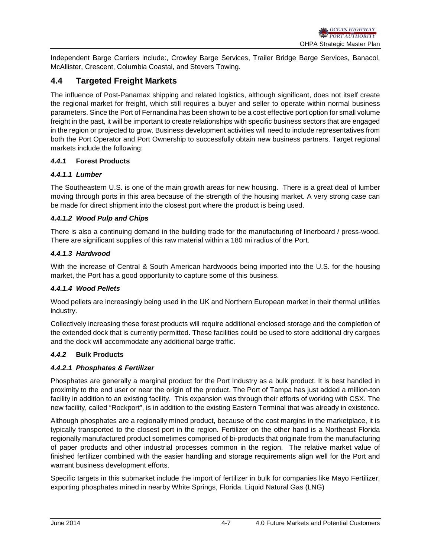Independent Barge Carriers include:, Crowley Barge Services, Trailer Bridge Barge Services, Banacol, McAllister, Crescent, Columbia Coastal, and Stevers Towing.

# **4.4 Targeted Freight Markets**

The influence of Post-Panamax shipping and related logistics, although significant, does not itself create the regional market for freight, which still requires a buyer and seller to operate within normal business parameters. Since the Port of Fernandina has been shown to be a cost effective port option for small volume freight in the past, it will be important to create relationships with specific business sectors that are engaged in the region or projected to grow. Business development activities will need to include representatives from both the Port Operator and Port Ownership to successfully obtain new business partners. Target regional markets include the following:

## *4.4.1* **Forest Products**

## *4.4.1.1 Lumber*

The Southeastern U.S. is one of the main growth areas for new housing. There is a great deal of lumber moving through ports in this area because of the strength of the housing market. A very strong case can be made for direct shipment into the closest port where the product is being used.

## *4.4.1.2 Wood Pulp and Chips*

There is also a continuing demand in the building trade for the manufacturing of linerboard / press-wood. There are significant supplies of this raw material within a 180 mi radius of the Port.

#### *4.4.1.3 Hardwood*

With the increase of Central & South American hardwoods being imported into the U.S. for the housing market, the Port has a good opportunity to capture some of this business.

#### *4.4.1.4 Wood Pellets*

Wood pellets are increasingly being used in the UK and Northern European market in their thermal utilities industry.

Collectively increasing these forest products will require additional enclosed storage and the completion of the extended dock that is currently permitted. These facilities could be used to store additional dry cargoes and the dock will accommodate any additional barge traffic.

#### *4.4.2* **Bulk Products**

#### *4.4.2.1 Phosphates & Fertilizer*

Phosphates are generally a marginal product for the Port Industry as a bulk product. It is best handled in proximity to the end user or near the origin of the product. The Port of Tampa has just added a million-ton facility in addition to an existing facility. This expansion was through their efforts of working with CSX. The new facility, called "Rockport", is in addition to the existing Eastern Terminal that was already in existence.

Although phosphates are a regionally mined product, because of the cost margins in the marketplace, it is typically transported to the closest port in the region. Fertilizer on the other hand is a Northeast Florida regionally manufactured product sometimes comprised of bi-products that originate from the manufacturing of paper products and other industrial processes common in the region. The relative market value of finished fertilizer combined with the easier handling and storage requirements align well for the Port and warrant business development efforts.

Specific targets in this submarket include the import of fertilizer in bulk for companies like Mayo Fertilizer, exporting phosphates mined in nearby White Springs, Florida. Liquid Natural Gas (LNG)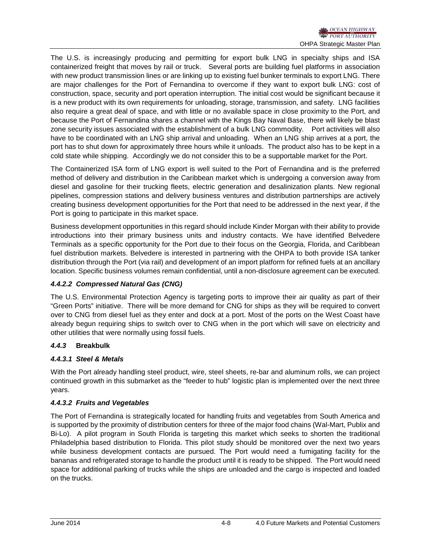The U.S. is increasingly producing and permitting for export bulk LNG in specialty ships and ISA containerized freight that moves by rail or truck. Several ports are building fuel platforms in association with new product transmission lines or are linking up to existing fuel bunker terminals to export LNG. There are major challenges for the Port of Fernandina to overcome if they want to export bulk LNG: cost of construction, space, security and port operation interruption. The initial cost would be significant because it is a new product with its own requirements for unloading, storage, transmission, and safety. LNG facilities also require a great deal of space, and with little or no available space in close proximity to the Port, and because the Port of Fernandina shares a channel with the Kings Bay Naval Base, there will likely be blast zone security issues associated with the establishment of a bulk LNG commodity. Port activities will also have to be coordinated with an LNG ship arrival and unloading. When an LNG ship arrives at a port, the port has to shut down for approximately three hours while it unloads. The product also has to be kept in a cold state while shipping. Accordingly we do not consider this to be a supportable market for the Port.

The Containerized ISA form of LNG export is well suited to the Port of Fernandina and is the preferred method of delivery and distribution in the Caribbean market which is undergoing a conversion away from diesel and gasoline for their trucking fleets, electric generation and desalinization plants. New regional pipelines, compression stations and delivery business ventures and distribution partnerships are actively creating business development opportunities for the Port that need to be addressed in the next year, if the Port is going to participate in this market space.

Business development opportunities in this regard should include Kinder Morgan with their ability to provide introductions into their primary business units and industry contacts. We have identified Belvedere Terminals as a specific opportunity for the Port due to their focus on the Georgia, Florida, and Caribbean fuel distribution markets. Belvedere is interested in partnering with the OHPA to both provide ISA tanker distribution through the Port (via rail) and development of an import platform for refined fuels at an ancillary location. Specific business volumes remain confidential, until a non-disclosure agreement can be executed.

## *4.4.2.2 Compressed Natural Gas (CNG)*

The U.S. Environmental Protection Agency is targeting ports to improve their air quality as part of their "Green Ports" initiative. There will be more demand for CNG for ships as they will be required to convert over to CNG from diesel fuel as they enter and dock at a port. Most of the ports on the West Coast have already begun requiring ships to switch over to CNG when in the port which will save on electricity and other utilities that were normally using fossil fuels.

# *4.4.3* **Breakbulk**

# *4.4.3.1 Steel & Metals*

With the Port already handling steel product, wire, steel sheets, re-bar and aluminum rolls, we can project continued growth in this submarket as the "feeder to hub" logistic plan is implemented over the next three years.

# *4.4.3.2 Fruits and Vegetables*

The Port of Fernandina is strategically located for handling fruits and vegetables from South America and is supported by the proximity of distribution centers for three of the major food chains (Wal-Mart, Publix and Bi-Lo). A pilot program in South Florida is targeting this market which seeks to shorten the traditional Philadelphia based distribution to Florida. This pilot study should be monitored over the next two years while business development contacts are pursued. The Port would need a fumigating facility for the bananas and refrigerated storage to handle the product until it is ready to be shipped. The Port would need space for additional parking of trucks while the ships are unloaded and the cargo is inspected and loaded on the trucks.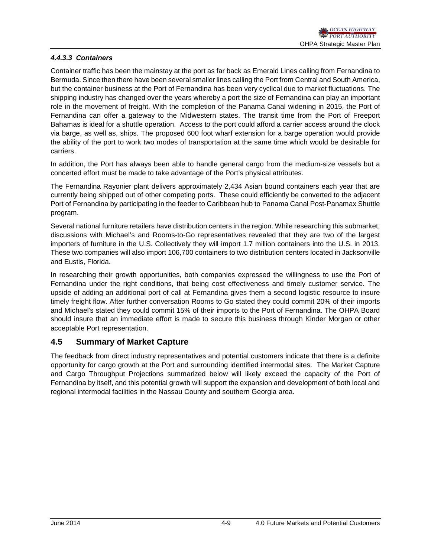#### *4.4.3.3 Containers*

Container traffic has been the mainstay at the port as far back as Emerald Lines calling from Fernandina to Bermuda. Since then there have been several smaller lines calling the Port from Central and South America, but the container business at the Port of Fernandina has been very cyclical due to market fluctuations. The shipping industry has changed over the years whereby a port the size of Fernandina can play an important role in the movement of freight. With the completion of the Panama Canal widening in 2015, the Port of Fernandina can offer a gateway to the Midwestern states. The transit time from the Port of Freeport Bahamas is ideal for a shuttle operation. Access to the port could afford a carrier access around the clock via barge, as well as, ships. The proposed 600 foot wharf extension for a barge operation would provide the ability of the port to work two modes of transportation at the same time which would be desirable for carriers.

In addition, the Port has always been able to handle general cargo from the medium-size vessels but a concerted effort must be made to take advantage of the Port's physical attributes.

The Fernandina Rayonier plant delivers approximately 2,434 Asian bound containers each year that are currently being shipped out of other competing ports. These could efficiently be converted to the adjacent Port of Fernandina by participating in the feeder to Caribbean hub to Panama Canal Post-Panamax Shuttle program.

Several national furniture retailers have distribution centers in the region. While researching this submarket, discussions with Michael's and Rooms-to-Go representatives revealed that they are two of the largest importers of furniture in the U.S. Collectively they will import 1.7 million containers into the U.S. in 2013. These two companies will also import 106,700 containers to two distribution centers located in Jacksonville and Eustis, Florida.

In researching their growth opportunities, both companies expressed the willingness to use the Port of Fernandina under the right conditions, that being cost effectiveness and timely customer service. The upside of adding an additional port of call at Fernandina gives them a second logistic resource to insure timely freight flow. After further conversation Rooms to Go stated they could commit 20% of their imports and Michael's stated they could commit 15% of their imports to the Port of Fernandina. The OHPA Board should insure that an immediate effort is made to secure this business through Kinder Morgan or other acceptable Port representation.

# **4.5 Summary of Market Capture**

The feedback from direct industry representatives and potential customers indicate that there is a definite opportunity for cargo growth at the Port and surrounding identified intermodal sites. The Market Capture and Cargo Throughput Projections summarized below will likely exceed the capacity of the Port of Fernandina by itself, and this potential growth will support the expansion and development of both local and regional intermodal facilities in the Nassau County and southern Georgia area.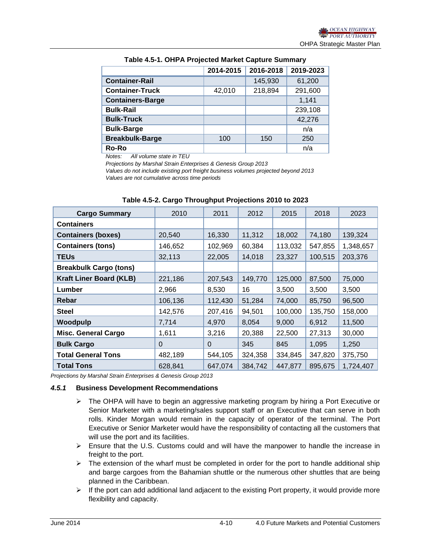|                         | 2014-2015 | 2016-2018 | 2019-2023 |
|-------------------------|-----------|-----------|-----------|
| <b>Container-Rail</b>   |           | 145,930   | 61,200    |
| <b>Container-Truck</b>  | 42,010    | 218,894   | 291,600   |
| <b>Containers-Barge</b> |           |           | 1,141     |
| <b>Bulk-Rail</b>        |           |           | 239,108   |
| <b>Bulk-Truck</b>       |           |           | 42,276    |
| <b>Bulk-Barge</b>       |           |           | n/a       |
| <b>Breakbulk-Barge</b>  | 100       | 150       | 250       |
| <b>Ro-Ro</b>            |           |           | n/a       |

#### **Table 4.5-1. OHPA Projected Market Capture Summary**

*Notes: All volume state in TEU*

*Projections by Marshal Strain Enterprises & Genesis Group 2013*

*Values do not include existing port freight business volumes projected beyond 2013 Values are not cumulative across time periods*

| <b>Cargo Summary</b>           | 2010     | 2011     | 2012    | 2015    | 2018    | 2023      |
|--------------------------------|----------|----------|---------|---------|---------|-----------|
| <b>Containers</b>              |          |          |         |         |         |           |
| <b>Containers (boxes)</b>      | 20,540   | 16,330   | 11,312  | 18,002  | 74,180  | 139,324   |
| <b>Containers (tons)</b>       | 146,652  | 102,969  | 60,384  | 113,032 | 547,855 | 1,348,657 |
| <b>TEUs</b>                    | 32,113   | 22,005   | 14,018  | 23,327  | 100,515 | 203,376   |
| <b>Breakbulk Cargo (tons)</b>  |          |          |         |         |         |           |
| <b>Kraft Liner Board (KLB)</b> | 221,186  | 207,543  | 149,770 | 125,000 | 87,500  | 75,000    |
| Lumber                         | 2,966    | 8,530    | 16      | 3,500   | 3,500   | 3,500     |
| Rebar                          | 106,136  | 112,430  | 51,284  | 74,000  | 85,750  | 96,500    |
| <b>Steel</b>                   | 142,576  | 207,416  | 94,501  | 100,000 | 135,750 | 158,000   |
| Woodpulp                       | 7,714    | 4,970    | 8,054   | 9,000   | 6,912   | 11,500    |
| <b>Misc. General Cargo</b>     | 1,611    | 3,216    | 20,388  | 22,500  | 27,313  | 30,000    |
| <b>Bulk Cargo</b>              | $\Omega$ | $\Omega$ | 345     | 845     | 1,095   | 1,250     |
| <b>Total General Tons</b>      | 482,189  | 544,105  | 324,358 | 334,845 | 347,820 | 375,750   |
| <b>Total Tons</b>              | 628,841  | 647,074  | 384,742 | 447,877 | 895,675 | 1,724,407 |

**Table 4.5-2. Cargo Throughput Projections 2010 to 2023**

*Projections by Marshal Strain Enterprises & Genesis Group 2013*

#### *4.5.1* **Business Development Recommendations**

- $\triangleright$  The OHPA will have to begin an aggressive marketing program by hiring a Port Executive or Senior Marketer with a marketing/sales support staff or an Executive that can serve in both rolls. Kinder Morgan would remain in the capacity of operator of the terminal. The Port Executive or Senior Marketer would have the responsibility of contacting all the customers that will use the port and its facilities.
- $\triangleright$  Ensure that the U.S. Customs could and will have the manpower to handle the increase in freight to the port.
- $\triangleright$  The extension of the wharf must be completed in order for the port to handle additional ship and barge cargoes from the Bahamian shuttle or the numerous other shuttles that are being planned in the Caribbean.
- $\triangleright$  If the port can add additional land adjacent to the existing Port property, it would provide more flexibility and capacity.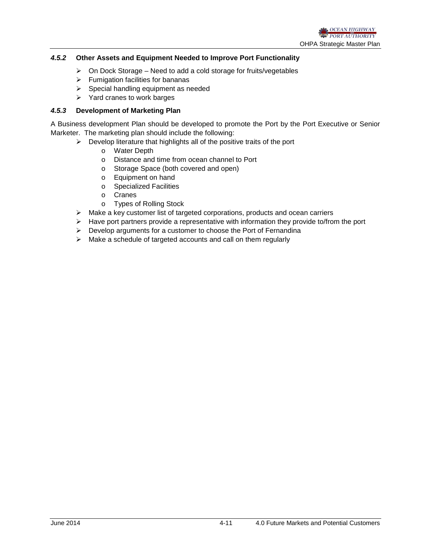#### *4.5.2* **Other Assets and Equipment Needed to Improve Port Functionality**

- $\geq$  On Dock Storage Need to add a cold storage for fruits/vegetables
- $\triangleright$  Fumigation facilities for bananas
- $\triangleright$  Special handling equipment as needed
- $\triangleright$  Yard cranes to work barges

#### *4.5.3* **Development of Marketing Plan**

A Business development Plan should be developed to promote the Port by the Port Executive or Senior Marketer. The marketing plan should include the following:

- $\triangleright$  Develop literature that highlights all of the positive traits of the port
	-
	- o Water Depth<br>o Distance and Distance and time from ocean channel to Port
	- o Storage Space (both covered and open)
	- o Equipment on hand
	- o Specialized Facilities
	- o Cranes
	- o Types of Rolling Stock
- $\triangleright$  Make a key customer list of targeted corporations, products and ocean carriers
- $\triangleright$  Have port partners provide a representative with information they provide to/from the port
- $\triangleright$  Develop arguments for a customer to choose the Port of Fernandina
- $\triangleright$  Make a schedule of targeted accounts and call on them regularly